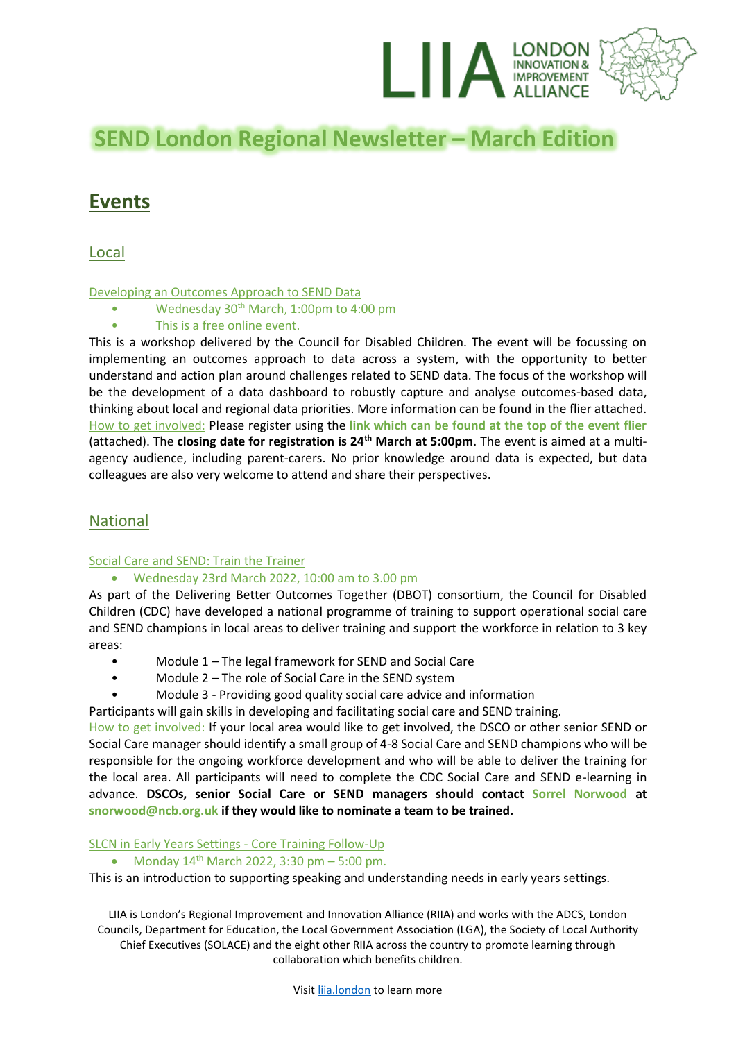

# **SEND London Regional Newsletter – March Edition**

# **Events**

Local

#### Developing an Outcomes Approach to SEND Data

- Wednesday 30th March, 1:00pm to 4:00 pm
- This is a free online event.

This is a workshop delivered by the Council for Disabled Children. The event will be focussing on implementing an outcomes approach to data across a system, with the opportunity to better understand and action plan around challenges related to SEND data. The focus of the workshop will be the development of a data dashboard to robustly capture and analyse outcomes-based data, thinking about local and regional data priorities. More information can be found in the flier attached. How to get involved: Please register using the **link which can be found at the top of the event flier** (attached). The **closing date for registration is 24th March at 5:00pm**. The event is aimed at a multiagency audience, including parent-carers. No prior knowledge around data is expected, but data colleagues are also very welcome to attend and share their perspectives.

# National

#### Social Care and SEND: Train the Trainer

# • Wednesday 23rd March 2022, 10:00 am to 3.00 pm

As part of the Delivering Better Outcomes Together (DBOT) consortium, the Council for Disabled Children (CDC) have developed a national programme of training to support operational social care and SEND champions in local areas to deliver training and support the workforce in relation to 3 key areas:

- Module 1 The legal framework for SEND and Social Care
- Module 2 The role of Social Care in the SEND system
- Module 3 Providing good quality social care advice and information

Participants will gain skills in developing and facilitating social care and SEND training.

How to get involved: If your local area would like to get involved, the DSCO or other senior SEND or Social Care manager should identify a small group of 4-8 Social Care and SEND champions who will be responsible for the ongoing workforce development and who will be able to deliver the training for the local area. All participants will need to complete the CDC Social Care and SEND e-learning in advance. **DSCOs, senior Social Care or SEND managers should contact Sorrel Norwood at snorwood@ncb.org.uk if they would like to nominate a team to be trained.**

#### SLCN in Early Years Settings - Core Training Follow-Up

• Monday  $14^{th}$  March 2022, 3:30 pm – 5:00 pm.

This is an introduction to supporting speaking and understanding needs in early years settings.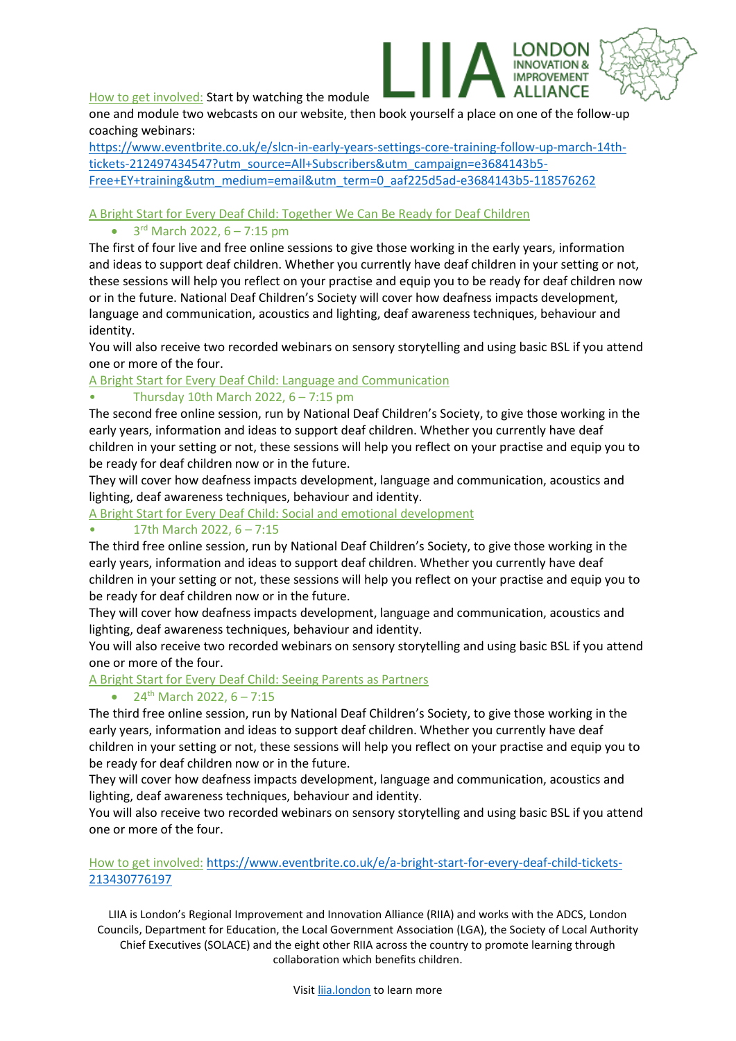How to get involved: Start by watching the module

one and module two webcasts on our website, then book yourself a place on one of the follow-up coaching webinars:

**ROVEMENT** 

[https://www.eventbrite.co.uk/e/slcn-in-early-years-settings-core-training-follow-up-march-14th](https://www.eventbrite.co.uk/e/slcn-in-early-years-settings-core-training-follow-up-march-14th-tickets-212497434547?utm_source=All+Subscribers&utm_campaign=e3684143b5-Free+EY+training&utm_medium=email&utm_term=0_aaf225d5ad-e3684143b5-118576262)[tickets-212497434547?utm\\_source=All+Subscribers&utm\\_campaign=e3684143b5-](https://www.eventbrite.co.uk/e/slcn-in-early-years-settings-core-training-follow-up-march-14th-tickets-212497434547?utm_source=All+Subscribers&utm_campaign=e3684143b5-Free+EY+training&utm_medium=email&utm_term=0_aaf225d5ad-e3684143b5-118576262) [Free+EY+training&utm\\_medium=email&utm\\_term=0\\_aaf225d5ad-e3684143b5-118576262](https://www.eventbrite.co.uk/e/slcn-in-early-years-settings-core-training-follow-up-march-14th-tickets-212497434547?utm_source=All+Subscribers&utm_campaign=e3684143b5-Free+EY+training&utm_medium=email&utm_term=0_aaf225d5ad-e3684143b5-118576262)

# A Bright Start for Every Deaf Child: Together We Can Be Ready for Deaf Children

#### $\bullet$  3<sup>rd</sup> March 2022, 6 – 7:15 pm

The first of four live and free online sessions to give those working in the early years, information and ideas to support deaf children. Whether you currently have deaf children in your setting or not, these sessions will help you reflect on your practise and equip you to be ready for deaf children now or in the future. National Deaf Children's Society will cover how deafness impacts development, language and communication, acoustics and lighting, deaf awareness techniques, behaviour and identity.

You will also receive two recorded webinars on sensory storytelling and using basic BSL if you attend one or more of the four.

A Bright Start for Every Deaf Child: Language and Communication

#### • Thursday 10th March 2022,  $6 - 7:15$  pm

The second free online session, run by National Deaf Children's Society, to give those working in the early years, information and ideas to support deaf children. Whether you currently have deaf children in your setting or not, these sessions will help you reflect on your practise and equip you to be ready for deaf children now or in the future.

They will cover how deafness impacts development, language and communication, acoustics and lighting, deaf awareness techniques, behaviour and identity.

A Bright Start for Every Deaf Child: Social and emotional development

# • 17th March 2022, 6 – 7:15

The third free online session, run by National Deaf Children's Society, to give those working in the early years, information and ideas to support deaf children. Whether you currently have deaf children in your setting or not, these sessions will help you reflect on your practise and equip you to be ready for deaf children now or in the future.

They will cover how deafness impacts development, language and communication, acoustics and lighting, deaf awareness techniques, behaviour and identity.

You will also receive two recorded webinars on sensory storytelling and using basic BSL if you attend one or more of the four.

# A Bright Start for Every Deaf Child: Seeing Parents as Partners

#### •  $24^{th}$  March 2022,  $6 - 7:15$

The third free online session, run by National Deaf Children's Society, to give those working in the early years, information and ideas to support deaf children. Whether you currently have deaf children in your setting or not, these sessions will help you reflect on your practise and equip you to be ready for deaf children now or in the future.

They will cover how deafness impacts development, language and communication, acoustics and lighting, deaf awareness techniques, behaviour and identity.

You will also receive two recorded webinars on sensory storytelling and using basic BSL if you attend one or more of the four.

#### How to get involved: [https://www.eventbrite.co.uk/e/a-bright-start-for-every-deaf-child-tickets-](https://www.eventbrite.co.uk/e/a-bright-start-for-every-deaf-child-tickets-213430776197)[213430776197](https://www.eventbrite.co.uk/e/a-bright-start-for-every-deaf-child-tickets-213430776197)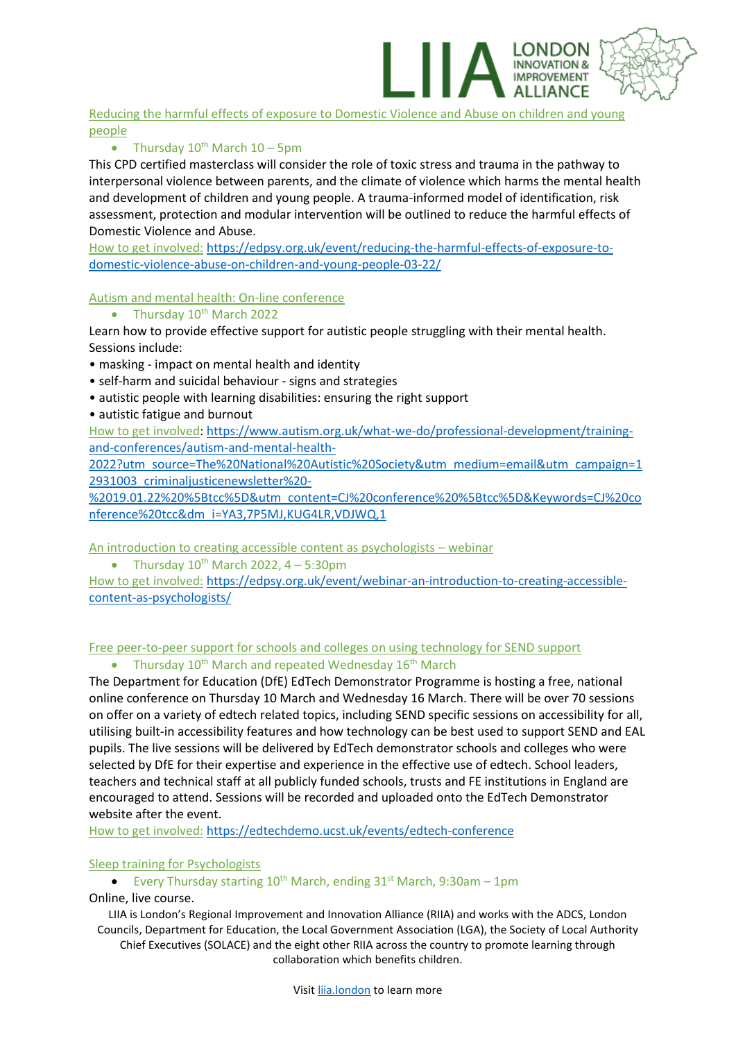Reducing the harmful effects of exposure to Domestic Violence and Abuse on children and young people

NDON

**ROVEMENT** 

# • Thursday  $10^{th}$  March  $10 - 5$ pm

This CPD certified masterclass will consider the role of toxic stress and trauma in the pathway to interpersonal violence between parents, and the climate of violence which harms the mental health and development of children and young people. A trauma-informed model of identification, risk assessment, protection and modular intervention will be outlined to reduce the harmful effects of Domestic Violence and Abuse.

How to get involved: [https://edpsy.org.uk/event/reducing-the-harmful-effects-of-exposure-to](https://edpsy.org.uk/event/reducing-the-harmful-effects-of-exposure-to-domestic-violence-abuse-on-children-and-young-people-03-22/)[domestic-violence-abuse-on-children-and-young-people-03-22/](https://edpsy.org.uk/event/reducing-the-harmful-effects-of-exposure-to-domestic-violence-abuse-on-children-and-young-people-03-22/)

#### Autism and mental health: On-line conference

• Thursday  $10^{th}$  March 2022

Learn how to provide effective support for autistic people struggling with their mental health. Sessions include:

- masking impact on mental health and identity
- self-harm and suicidal behaviour signs and strategies
- autistic people with learning disabilities: ensuring the right support
- autistic fatigue and burnout

How to get involved: [https://www.autism.org.uk/what-we-do/professional-development/training](https://www.autism.org.uk/what-we-do/professional-development/training-and-conferences/autism-and-mental-health-2022?utm_source=The%20National%20Autistic%20Society&utm_medium=email&utm_campaign=12931003_criminaljusticenewsletter%20-%2019.01.22%20%5Btcc%5D&utm_content=CJ%20conference%20%5Btcc%5D&Keywords=CJ%20conference%20tcc&dm_i=YA3,7P5MJ,KUG4LR,VDJWQ,1)[and-conferences/autism-and-mental-health-](https://www.autism.org.uk/what-we-do/professional-development/training-and-conferences/autism-and-mental-health-2022?utm_source=The%20National%20Autistic%20Society&utm_medium=email&utm_campaign=12931003_criminaljusticenewsletter%20-%2019.01.22%20%5Btcc%5D&utm_content=CJ%20conference%20%5Btcc%5D&Keywords=CJ%20conference%20tcc&dm_i=YA3,7P5MJ,KUG4LR,VDJWQ,1)

[2022?utm\\_source=The%20National%20Autistic%20Society&utm\\_medium=email&utm\\_campaign=1](https://www.autism.org.uk/what-we-do/professional-development/training-and-conferences/autism-and-mental-health-2022?utm_source=The%20National%20Autistic%20Society&utm_medium=email&utm_campaign=12931003_criminaljusticenewsletter%20-%2019.01.22%20%5Btcc%5D&utm_content=CJ%20conference%20%5Btcc%5D&Keywords=CJ%20conference%20tcc&dm_i=YA3,7P5MJ,KUG4LR,VDJWQ,1) [2931003\\_criminaljusticenewsletter%20-](https://www.autism.org.uk/what-we-do/professional-development/training-and-conferences/autism-and-mental-health-2022?utm_source=The%20National%20Autistic%20Society&utm_medium=email&utm_campaign=12931003_criminaljusticenewsletter%20-%2019.01.22%20%5Btcc%5D&utm_content=CJ%20conference%20%5Btcc%5D&Keywords=CJ%20conference%20tcc&dm_i=YA3,7P5MJ,KUG4LR,VDJWQ,1)

[%2019.01.22%20%5Btcc%5D&utm\\_content=CJ%20conference%20%5Btcc%5D&Keywords=CJ%20co](https://www.autism.org.uk/what-we-do/professional-development/training-and-conferences/autism-and-mental-health-2022?utm_source=The%20National%20Autistic%20Society&utm_medium=email&utm_campaign=12931003_criminaljusticenewsletter%20-%2019.01.22%20%5Btcc%5D&utm_content=CJ%20conference%20%5Btcc%5D&Keywords=CJ%20conference%20tcc&dm_i=YA3,7P5MJ,KUG4LR,VDJWQ,1) [nference%20tcc&dm\\_i=YA3,7P5MJ,KUG4LR,VDJWQ,1](https://www.autism.org.uk/what-we-do/professional-development/training-and-conferences/autism-and-mental-health-2022?utm_source=The%20National%20Autistic%20Society&utm_medium=email&utm_campaign=12931003_criminaljusticenewsletter%20-%2019.01.22%20%5Btcc%5D&utm_content=CJ%20conference%20%5Btcc%5D&Keywords=CJ%20conference%20tcc&dm_i=YA3,7P5MJ,KUG4LR,VDJWQ,1)

An introduction to creating accessible content as psychologists – webinar

• Thursday  $10^{th}$  March 2022,  $4 - 5:30$ pm

How to get involved: [https://edpsy.org.uk/event/webinar-an-introduction-to-creating-accessible](https://edpsy.org.uk/event/webinar-an-introduction-to-creating-accessible-content-as-psychologists/)[content-as-psychologists/](https://edpsy.org.uk/event/webinar-an-introduction-to-creating-accessible-content-as-psychologists/)

# Free peer-to-peer support for schools and colleges on using technology for SEND support

Thursday 10<sup>th</sup> March and repeated Wednesday 16<sup>th</sup> March

The Department for Education (DfE) EdTech Demonstrator Programme is hosting a free, national online conference on Thursday 10 March and Wednesday 16 March. There will be over 70 sessions on offer on a variety of edtech related topics, including SEND specific sessions on accessibility for all, utilising built-in accessibility features and how technology can be best used to support SEND and EAL pupils. The live sessions will be delivered by EdTech demonstrator schools and colleges who were selected by DfE for their expertise and experience in the effective use of edtech. School leaders, teachers and technical staff at all publicly funded schools, trusts and FE institutions in England are encouraged to attend. Sessions will be recorded and uploaded onto the EdTech Demonstrator website after the event.

How to get involved: <https://edtechdemo.ucst.uk/events/edtech-conference>

#### Sleep training for Psychologists

• Every Thursday starting  $10^{th}$  March, ending  $31^{st}$  March, 9:30am - 1pm Online, live course.

LIIA is London's Regional Improvement and Innovation Alliance (RIIA) and works with the ADCS, London Councils, Department for Education, the Local Government Association (LGA), the Society of Local Authority

Chief Executives (SOLACE) and the eight other RIIA across the country to promote learning through collaboration which benefits children.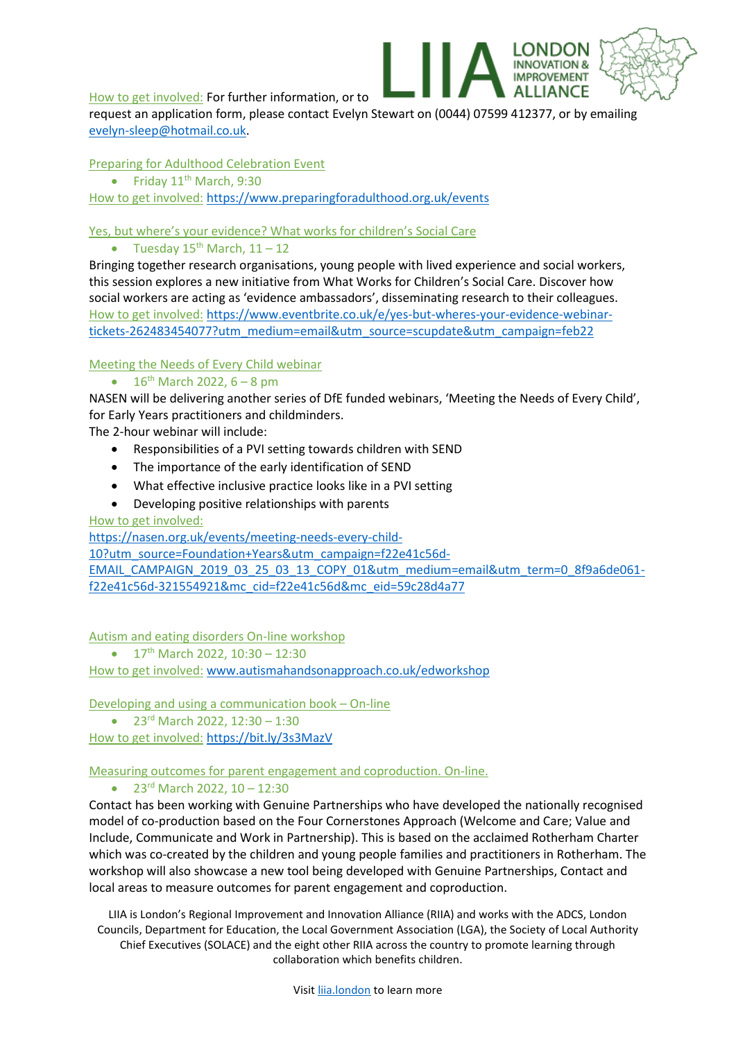How to get involved: For further information, or to

request an application form, please contact Evelyn Stewart on (0044) 07599 412377, or by emailing [evelyn-sleep@hotmail.co.uk.](mailto:evelyn-sleep@hotmail.co.uk)

I ONDON

**IMPROVEMENT ALLIANCE** 

#### Preparing for Adulthood Celebration Event

• Friday  $11<sup>th</sup>$  March, 9:30

How to get involved: <https://www.preparingforadulthood.org.uk/events>

#### Yes, but where's your evidence? What works for children's Social Care

#### • Tuesday  $15^{th}$  March,  $11 - 12$

Bringing together research organisations, young people with lived experience and social workers, this session explores a new initiative from What Works for Children's Social Care. Discover how social workers are acting as 'evidence ambassadors', disseminating research to their colleagues. How to get involved: [https://www.eventbrite.co.uk/e/yes-but-wheres-your-evidence-webinar](https://www.eventbrite.co.uk/e/yes-but-wheres-your-evidence-webinar-tickets-262483454077?utm_medium=email&utm_source=scupdate&utm_campaign=feb22)[tickets-262483454077?utm\\_medium=email&utm\\_source=scupdate&utm\\_campaign=feb22](https://www.eventbrite.co.uk/e/yes-but-wheres-your-evidence-webinar-tickets-262483454077?utm_medium=email&utm_source=scupdate&utm_campaign=feb22)

#### Meeting the Needs of Every Child webinar

•  $16^{th}$  March 2022, 6 – 8 pm

NASEN will be delivering another series of DfE funded webinars, 'Meeting the Needs of Every Child', for Early Years practitioners and childminders.

The 2-hour webinar will include:

- Responsibilities of a PVI setting towards children with SEND
- The importance of the early identification of SEND
- What effective inclusive practice looks like in a PVI setting
- Developing positive relationships with parents

#### How to get involved:

[https://nasen.org.uk/events/meeting-needs-every-child-](https://nasen.org.uk/events/meeting-needs-every-child-10?utm_source=Foundation+Years&utm_campaign=f22e41c56d-EMAIL_CAMPAIGN_2019_03_25_03_13_COPY_01&utm_medium=email&utm_term=0_8f9a6de061-f22e41c56d-321554921&mc_cid=f22e41c56d&mc_eid=59c28d4a77)

[10?utm\\_source=Foundation+Years&utm\\_campaign=f22e41c56d-](https://nasen.org.uk/events/meeting-needs-every-child-10?utm_source=Foundation+Years&utm_campaign=f22e41c56d-EMAIL_CAMPAIGN_2019_03_25_03_13_COPY_01&utm_medium=email&utm_term=0_8f9a6de061-f22e41c56d-321554921&mc_cid=f22e41c56d&mc_eid=59c28d4a77)

[EMAIL\\_CAMPAIGN\\_2019\\_03\\_25\\_03\\_13\\_COPY\\_01&utm\\_medium=email&utm\\_term=0\\_8f9a6de061](https://nasen.org.uk/events/meeting-needs-every-child-10?utm_source=Foundation+Years&utm_campaign=f22e41c56d-EMAIL_CAMPAIGN_2019_03_25_03_13_COPY_01&utm_medium=email&utm_term=0_8f9a6de061-f22e41c56d-321554921&mc_cid=f22e41c56d&mc_eid=59c28d4a77) [f22e41c56d-321554921&mc\\_cid=f22e41c56d&mc\\_eid=59c28d4a77](https://nasen.org.uk/events/meeting-needs-every-child-10?utm_source=Foundation+Years&utm_campaign=f22e41c56d-EMAIL_CAMPAIGN_2019_03_25_03_13_COPY_01&utm_medium=email&utm_term=0_8f9a6de061-f22e41c56d-321554921&mc_cid=f22e41c56d&mc_eid=59c28d4a77)

Autism and eating disorders On-line workshop

•  $17<sup>th</sup>$  March 2022, 10:30 – 12:30

How to get involved: [www.autismahandsonapproach.co.uk/edworkshop](http://www.autismahandsonapproach.co.uk/edworkshop)

Developing and using a communication book – On-line

•  $23^{rd}$  March 2022, 12:30 – 1:30

How to get involved: <https://bit.ly/3s3MazV>

#### Measuring outcomes for parent engagement and coproduction. On-line.

# •  $23^{rd}$  March 2022, 10 – 12:30

Contact has been working with Genuine Partnerships who have developed the nationally recognised model of co-production based on the Four Cornerstones Approach (Welcome and Care; Value and Include, Communicate and Work in Partnership). This is based on the acclaimed Rotherham Charter which was co-created by the children and young people families and practitioners in Rotherham. The workshop will also showcase a new tool being developed with Genuine Partnerships, Contact and local areas to measure outcomes for parent engagement and coproduction.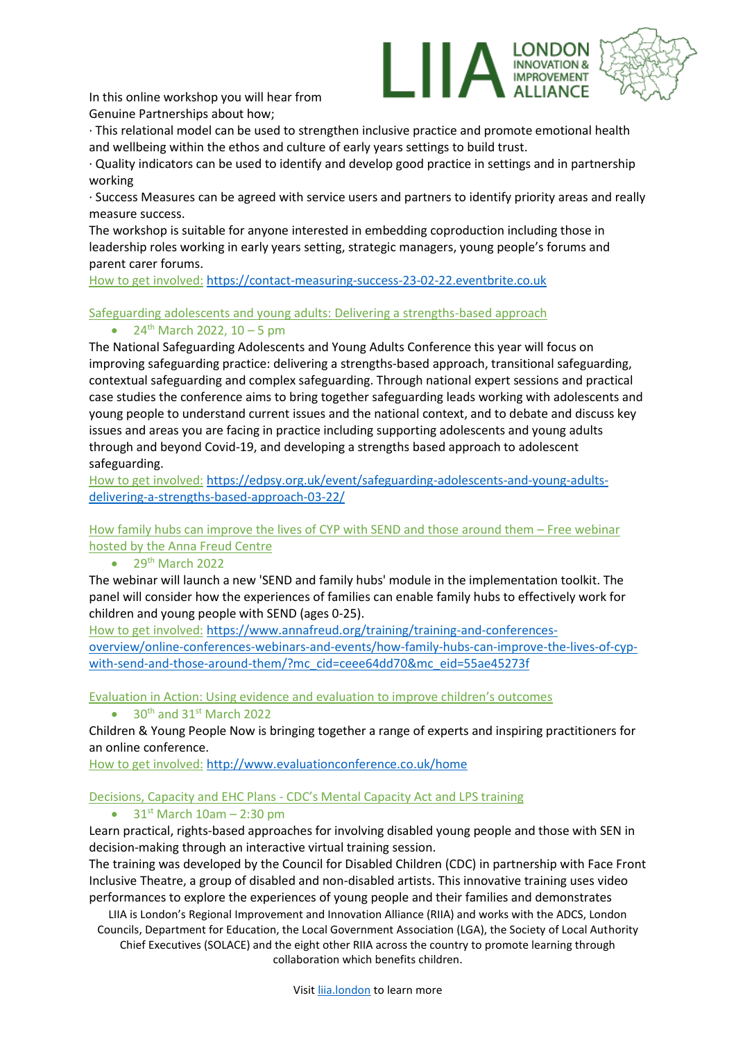In this online workshop you will hear from Genuine Partnerships about how;



· This relational model can be used to strengthen inclusive practice and promote emotional health and wellbeing within the ethos and culture of early years settings to build trust.

· Quality indicators can be used to identify and develop good practice in settings and in partnership working

· Success Measures can be agreed with service users and partners to identify priority areas and really measure success.

The workshop is suitable for anyone interested in embedding coproduction including those in leadership roles working in early years setting, strategic managers, young people's forums and parent carer forums.

How to get involved: [https://contact-measuring-success-23-02-22.eventbrite.co.uk](https://contact-measuring-success-23-02-22.eventbrite.co.uk/)

Safeguarding adolescents and young adults: Delivering a strengths-based approach

•  $24^{th}$  March 2022, 10 – 5 pm

The National Safeguarding Adolescents and Young Adults Conference this year will focus on improving safeguarding practice: delivering a strengths-based approach, transitional safeguarding, contextual safeguarding and complex safeguarding. Through national expert sessions and practical case studies the conference aims to bring together safeguarding leads working with adolescents and young people to understand current issues and the national context, and to debate and discuss key issues and areas you are facing in practice including supporting adolescents and young adults through and beyond Covid-19, and developing a strengths based approach to adolescent safeguarding.

How to get involved: [https://edpsy.org.uk/event/safeguarding-adolescents-and-young-adults](https://edpsy.org.uk/event/safeguarding-adolescents-and-young-adults-delivering-a-strengths-based-approach-03-22/)[delivering-a-strengths-based-approach-03-22/](https://edpsy.org.uk/event/safeguarding-adolescents-and-young-adults-delivering-a-strengths-based-approach-03-22/)

How family hubs can improve the lives of CYP with SEND and those around them – Free webinar hosted by the Anna Freud Centre

# $\bullet$  29<sup>th</sup> March 2022

The webinar will launch a new 'SEND and family hubs' module in the implementation toolkit. The panel will consider how the experiences of families can enable family hubs to effectively work for children and young people with SEND (ages 0-25).

How to get involved: [https://www.annafreud.org/training/training-and-conferences](https://www.annafreud.org/training/training-and-conferences-overview/online-conferences-webinars-and-events/how-family-hubs-can-improve-the-lives-of-cyp-with-send-and-those-around-them/?mc_cid=ceee64dd70&mc_eid=55ae45273f)[overview/online-conferences-webinars-and-events/how-family-hubs-can-improve-the-lives-of-cyp](https://www.annafreud.org/training/training-and-conferences-overview/online-conferences-webinars-and-events/how-family-hubs-can-improve-the-lives-of-cyp-with-send-and-those-around-them/?mc_cid=ceee64dd70&mc_eid=55ae45273f)[with-send-and-those-around-them/?mc\\_cid=ceee64dd70&mc\\_eid=55ae45273f](https://www.annafreud.org/training/training-and-conferences-overview/online-conferences-webinars-and-events/how-family-hubs-can-improve-the-lives-of-cyp-with-send-and-those-around-them/?mc_cid=ceee64dd70&mc_eid=55ae45273f)

Evaluation in Action: Using evidence and evaluation to improve children's outcomes

• 30th and 31st March 2022

Children & Young People Now is bringing together a range of experts and inspiring practitioners for an online conference.

How to get involved: <http://www.evaluationconference.co.uk/home>

# Decisions, Capacity and EHC Plans - CDC's Mental Capacity Act and LPS training

 $\bullet$  31<sup>st</sup> March 10am – 2:30 pm

Learn practical, rights-based approaches for involving disabled young people and those with SEN in decision-making through an interactive virtual training session.

The training was developed by the Council for Disabled Children (CDC) in partnership with Face Front Inclusive Theatre, a group of disabled and non-disabled artists. This innovative training uses video performances to explore the experiences of young people and their families and demonstrates

LIIA is London's Regional Improvement and Innovation Alliance (RIIA) and works with the ADCS, London Councils, Department for Education, the Local Government Association (LGA), the Society of Local Authority

Chief Executives (SOLACE) and the eight other RIIA across the country to promote learning through collaboration which benefits children.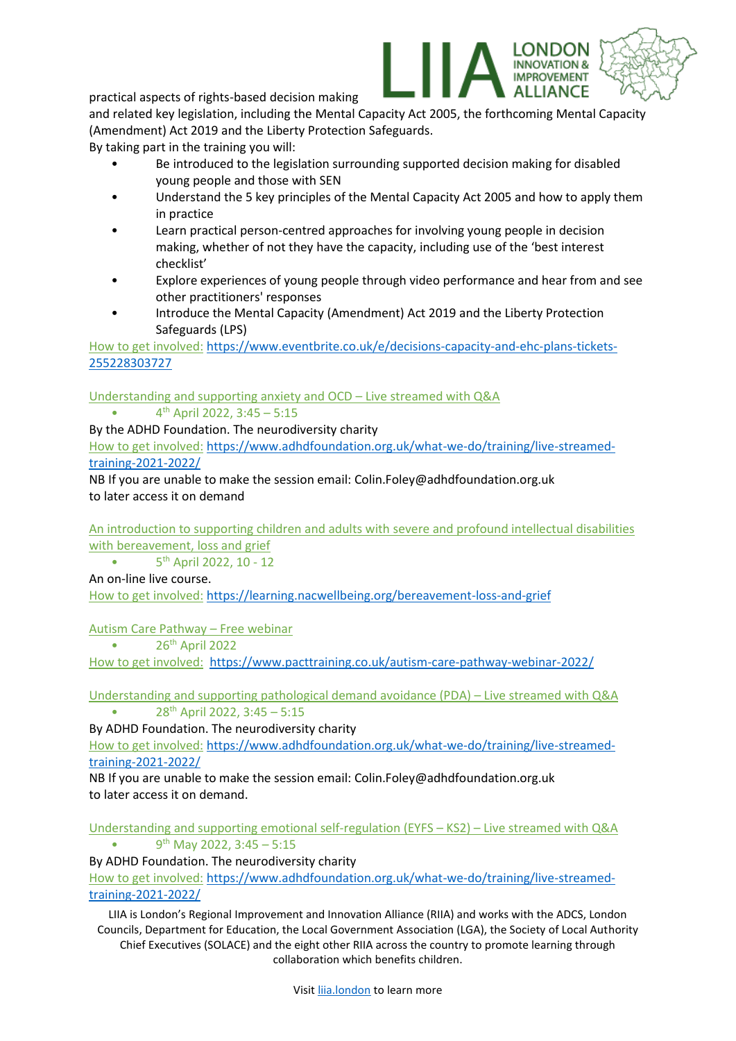practical aspects of rights-based decision making

and related key legislation, including the Mental Capacity Act 2005, the forthcoming Mental Capacity (Amendment) Act 2019 and the Liberty Protection Safeguards.

INDON

**OVEMENT** 

By taking part in the training you will:

- Be introduced to the legislation surrounding supported decision making for disabled young people and those with SEN
- Understand the 5 key principles of the Mental Capacity Act 2005 and how to apply them in practice
- Learn practical person-centred approaches for involving young people in decision making, whether of not they have the capacity, including use of the 'best interest checklist'
- Explore experiences of young people through video performance and hear from and see other practitioners' responses
- Introduce the Mental Capacity (Amendment) Act 2019 and the Liberty Protection Safeguards (LPS)

How to get involved: [https://www.eventbrite.co.uk/e/decisions-capacity-and-ehc-plans-tickets-](https://www.eventbrite.co.uk/e/decisions-capacity-and-ehc-plans-tickets-255228303727)[255228303727](https://www.eventbrite.co.uk/e/decisions-capacity-and-ehc-plans-tickets-255228303727)

Understanding and supporting anxiety and OCD – Live streamed with Q&A

•  $4^{th}$  April 2022, 3:45 – 5:15

By the ADHD Foundation. The neurodiversity charity

How to get involved: [https://www.adhdfoundation.org.uk/what-we-do/training/live-streamed](https://www.adhdfoundation.org.uk/what-we-do/training/live-streamed-training-2021-2022/)[training-2021-2022/](https://www.adhdfoundation.org.uk/what-we-do/training/live-streamed-training-2021-2022/)

NB If you are unable to make the session email: Colin.Foley@adhdfoundation.org.uk to later access it on demand

An introduction to supporting children and adults with severe and profound intellectual disabilities with bereavement, loss and grief

 $\bullet$ 5<sup>th</sup> April 2022, 10 - 12

An on-line live course.

How to get involved: <https://learning.nacwellbeing.org/bereavement-loss-and-grief>

Autism Care Pathway – Free webinar

 $\bullet$  26<sup>th</sup> April 2022

How to get involved: <https://www.pacttraining.co.uk/autism-care-pathway-webinar-2022/>

Understanding and supporting pathological demand avoidance (PDA) – Live streamed with Q&A • 28th April 2022, 3:45 – 5:15

By ADHD Foundation. The neurodiversity charity

How to get involved: [https://www.adhdfoundation.org.uk/what-we-do/training/live-streamed](https://www.adhdfoundation.org.uk/what-we-do/training/live-streamed-training-2021-2022/)[training-2021-2022/](https://www.adhdfoundation.org.uk/what-we-do/training/live-streamed-training-2021-2022/)

NB If you are unable to make the session email: Colin.Foley@adhdfoundation.org.uk to later access it on demand.

Understanding and supporting emotional self-regulation (EYFS – KS2) – Live streamed with Q&A • 9<sup>th</sup> May 2022, 3:45 – 5:15

By ADHD Foundation. The neurodiversity charity

How to get involved: [https://www.adhdfoundation.org.uk/what-we-do/training/live-streamed](https://www.adhdfoundation.org.uk/what-we-do/training/live-streamed-training-2021-2022/)[training-2021-2022/](https://www.adhdfoundation.org.uk/what-we-do/training/live-streamed-training-2021-2022/)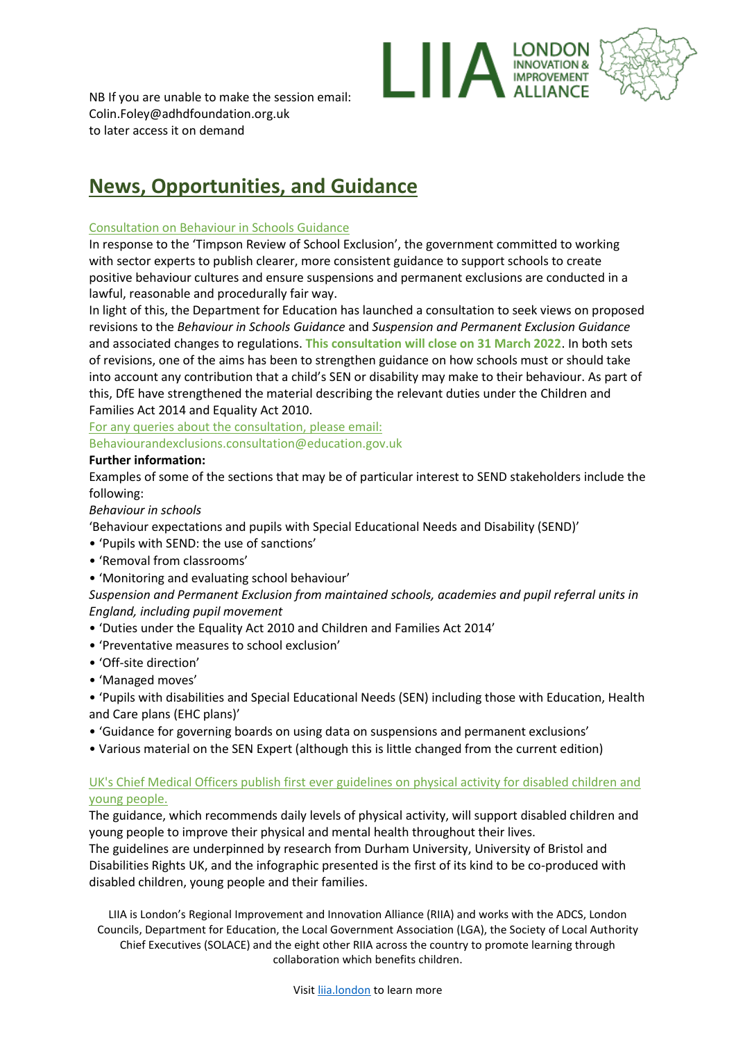

NB If you are unable to make the session email: Colin.Foley@adhdfoundation.org.uk to later access it on demand

# **News, Opportunities, and Guidance**

#### Consultation on Behaviour in Schools Guidance

In response to the 'Timpson Review of School Exclusion', the government committed to working with sector experts to publish clearer, more consistent guidance to support schools to create positive behaviour cultures and ensure suspensions and permanent exclusions are conducted in a lawful, reasonable and procedurally fair way.

In light of this, the Department for Education has launched a consultation to seek views on proposed revisions to the *Behaviour in Schools Guidance* and *Suspension and Permanent Exclusion Guidance*  and associated changes to regulations. **This consultation will close on 31 March 2022**. In both sets of revisions, one of the aims has been to strengthen guidance on how schools must or should take into account any contribution that a child's SEN or disability may make to their behaviour. As part of this, DfE have strengthened the material describing the relevant duties under the Children and Families Act 2014 and Equality Act 2010.

For any queries about the consultation, please email: Behaviourandexclusions.consultation@education.gov.uk

#### **Further information:**

Examples of some of the sections that may be of particular interest to SEND stakeholders include the following:

#### *Behaviour in schools*

'Behaviour expectations and pupils with Special Educational Needs and Disability (SEND)'

- 'Pupils with SEND: the use of sanctions'
- 'Removal from classrooms'
- 'Monitoring and evaluating school behaviour'

*Suspension and Permanent Exclusion from maintained schools, academies and pupil referral units in England, including pupil movement* 

- 'Duties under the Equality Act 2010 and Children and Families Act 2014'
- 'Preventative measures to school exclusion'
- 'Off-site direction'
- 'Managed moves'

• 'Pupils with disabilities and Special Educational Needs (SEN) including those with Education, Health and Care plans (EHC plans)'

- 'Guidance for governing boards on using data on suspensions and permanent exclusions'
- Various material on the SEN Expert (although this is little changed from the current edition)

# UK's Chief Medical Officers publish first ever guidelines on physical activity for disabled children and young people.

The guidance, which recommends daily levels of physical activity, will support disabled children and young people to improve their physical and mental health throughout their lives.

The guidelines are underpinned by research from Durham University, University of Bristol and Disabilities Rights UK, and the infographic presented is the first of its kind to be co-produced with disabled children, young people and their families.